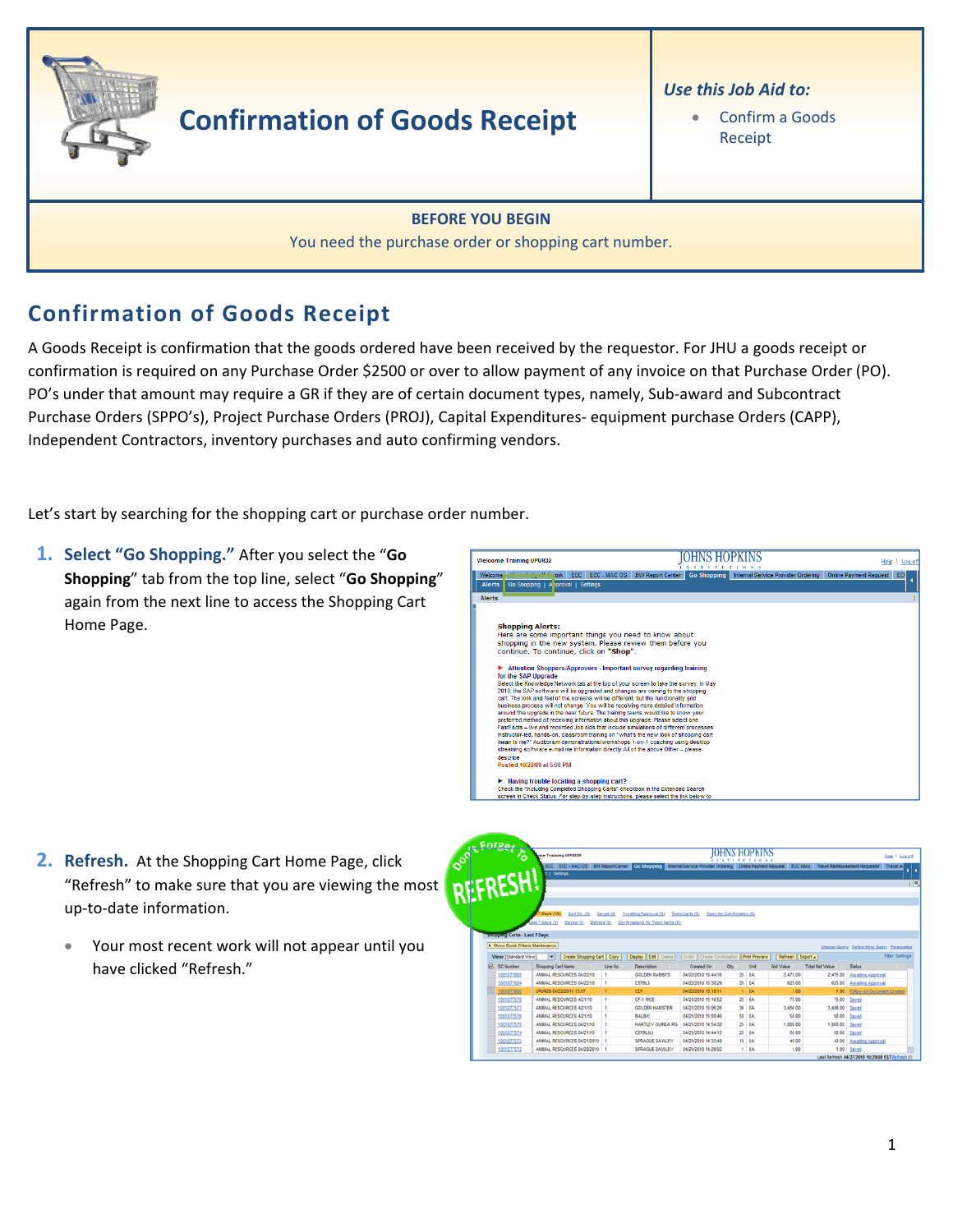

## **Confirmation of Goods Receipt**

## Use this Job Aid to:

Confirm a Goods Receipt

## **BEFORE YOU BEGIN**

You need the purchase order or shopping cart number.

## **Confirmation of Goods Receipt**

A Goods Receipt is confirmation that the goods ordered have been received by the requestor. For JHU a goods receipt or confirmation is required on any Purchase Order \$2500 or over to allow payment of any invoice on that Purchase Order (PO). PO's under that amount may require a GR if they are of certain document types, namely, Sub-award and Subcontract Purchase Orders (SPPO's), Project Purchase Orders (PROJ), Capital Expenditures-equipment purchase Orders (CAPP), Independent Contractors, inventory purchases and auto confirming vendors.

Let's start by searching for the shopping cart or purchase order number.

1. Select "Go Shopping." After you select the "Go Shopping" tab from the top line, select "Go Shopping" again from the next line to access the Shopping Cart Home Page.



- 2. Refresh. At the Shopping Cart Home Page, click "Refresh" to make sure that you are viewing the most up-to-date information.
	- Your most recent work will not appear until you have clicked "Refresh."

| <b><i><u>Forger</u></i></b>                               | me Training UPUR29                                                                                                                                                      |              | <b>OHNS HOPKINS</b>                                                                    |                                             |     |           |                                      |                        |                                           | Help   Log off        |
|-----------------------------------------------------------|-------------------------------------------------------------------------------------------------------------------------------------------------------------------------|--------------|----------------------------------------------------------------------------------------|---------------------------------------------|-----|-----------|--------------------------------------|------------------------|-------------------------------------------|-----------------------|
| <b>RESHA</b>                                              | ECC ECC - MAC OS BW Report Center Go Shopping Internal Service Provider Ordering Online Payment Request ECC Inbox Travel Reinbursement Requester Travel A<br>I Settings |              |                                                                                        |                                             |     |           |                                      |                        |                                           |                       |
| <b>Visipping Carts - Last 7 Days</b>                      | 7 Days (10)<br>Cart No. (0)<br>Lest 7 Days (0)<br>Saved (9)<br>Deleted (Q)                                                                                              | Saved (0)    | Awating Approval (0)<br>Confirmations for Team Carts (Q)                               | Open for Confirmation (0)<br>Team Carts (0) |     |           |                                      |                        |                                           |                       |
|                                                           |                                                                                                                                                                         |              |                                                                                        |                                             |     |           |                                      |                        | Change Query Define New Query Personalize |                       |
| F Show Quick Criteria Maintenance<br>View [Standard View] | Create Shopping Cart Copy<br>▬                                                                                                                                          |              |                                                                                        |                                             |     |           |                                      |                        |                                           | <b>Fiter Settings</b> |
| <b>IR. SCNumber</b>                                       | Shopping Carl Name                                                                                                                                                      | Line No.     | Display   Edit   Delete     Order   Create Confirmation   Print Preview<br>Description | Created On                                  | Ohr | Unit      | Refresh Export a<br><b>Net Value</b> | <b>Total Net Value</b> | Status                                    |                       |
| 1001077605                                                | ANIMAL RESOURCES 04/22/10                                                                                                                                               | ٠            | <b>GOLDEN BARRITS</b>                                                                  | 04/22/2010 15:44:16                         |     | 25 EA     | 2.475.00                             | 2.475.00               | Awaiting Approval                         |                       |
| 1001077604                                                | ANIMAL RESOURCES 04/22/10                                                                                                                                               |              | <b>CETBLE</b>                                                                          | 04/22/2010 15:38:29                         |     | 25 EA     | 625.00                               | 625.00                 | Awaiting Approval                         |                       |
| 1001077600                                                | UPUR29 04/22/2010 13:07                                                                                                                                                 | $\mathbf{1}$ | CD1                                                                                    | 04/22/2010 13:10:11                         |     | 1.5A      | 1.05.                                | 1.00                   | Fellow-on Document Created                |                       |
| 1001077578                                                | ANIMAL RESOURCES 4/21/10                                                                                                                                                | ٠            | CF-1 MICE                                                                              | 04/21/2010 15:16:52                         |     | 25 EA     | 75.00                                |                        | 75.00 Saved                               |                       |
| 1001077577                                                | ANIMAL RESOURCES 4/21/10                                                                                                                                                | 1            | <b>GOLDEN HAMSTER</b>                                                                  | 04/21/2010 15:06:26                         |     | 36 EA     | 3,458.00                             | 3,456.00 Saved         |                                           |                       |
| 1001077576                                                | ANIMAL RESOURCES 4/21/10                                                                                                                                                | ٠            | BALBIC                                                                                 | 04/21/2010 15:00:46                         | 50  | <b>IA</b> | 50.00                                |                        | 50.00 Saved                               |                       |
| 1001077575                                                | ANMAL RESOURCES 04/21/10                                                                                                                                                | ٠            | <b>HARTLEY GUNEA PIG</b>                                                               | 04/21/2010 14:54:38                         | 25  | <b>IA</b> | 1,000.00                             | 1,000.00               | Saved                                     |                       |
| 1001077574                                                | ANMAL RESOURCES 04/21/10                                                                                                                                                | ٠            | <b>CS7BL6/J</b>                                                                        | 04/21/2010 14:44:12                         |     | 25 EA     | 50.00                                | 50.00                  | Saved                                     |                       |
| 1001077573                                                | ANBIAL RESOURCES 04/21/2010 1                                                                                                                                           |              | SPRAGUE DAWLEY                                                                         | 04/21/2010 14:33:48                         |     | 10 EA     | 40.00                                | 40.00                  | Awating Approval                          |                       |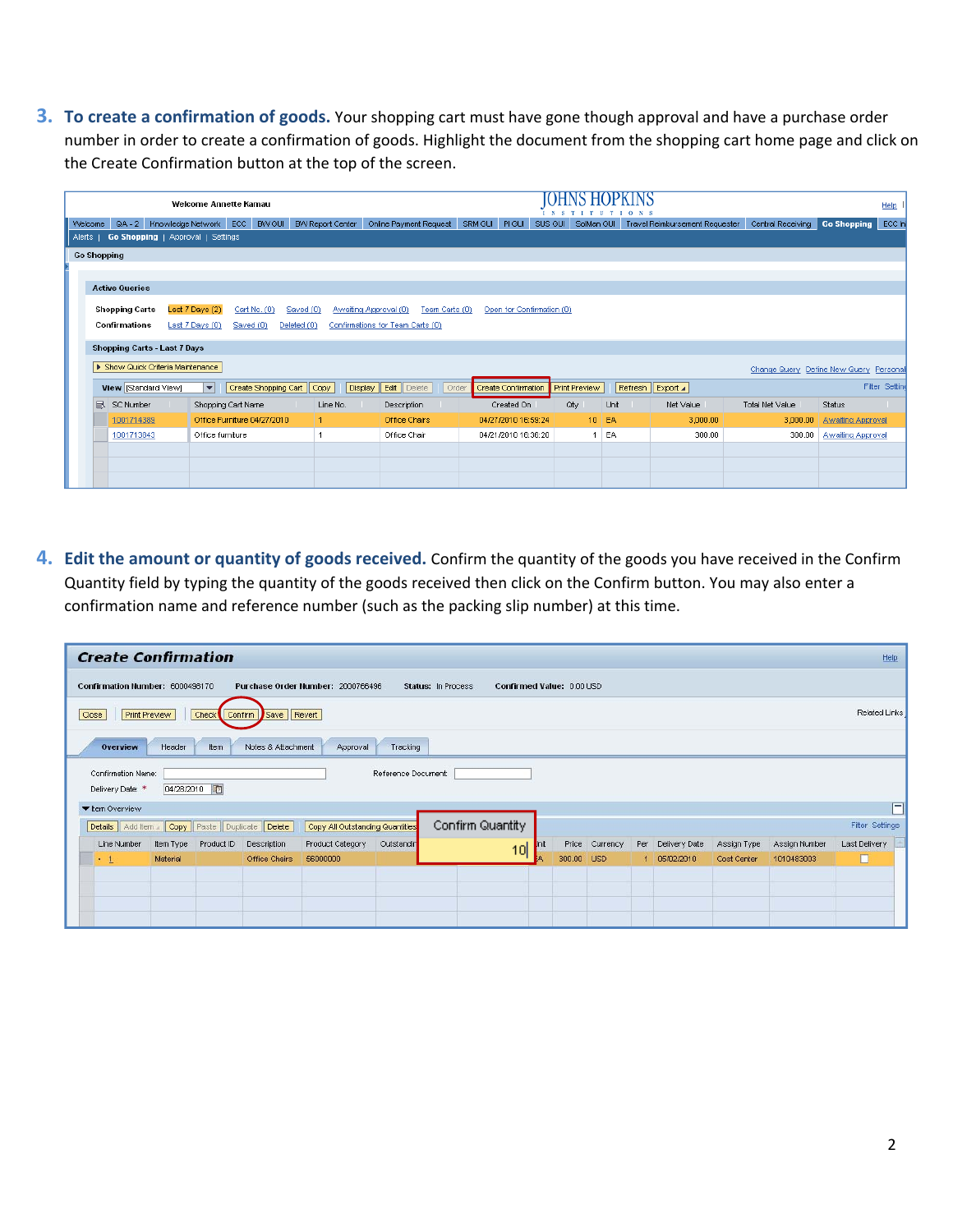**3. To create a confirmation of goods.** Your shopping cart must have gone though approval and have a purchase order number in order to create a confirmation of goods. Highlight the document from the shopping cart home page and click on the Create Confirmation button at the top of the screen.

|         | <b>Welcome Annette Kamau</b> |                                     |                                          |                             |                         |                                         |                                     |                       |         |                                |                                         | Help                     |                |
|---------|------------------------------|-------------------------------------|------------------------------------------|-----------------------------|-------------------------|-----------------------------------------|-------------------------------------|-----------------------|---------|--------------------------------|-----------------------------------------|--------------------------|----------------|
| Welcome | $QA - 2$                     | Knowledge Network                   | ECC                                      | <b>BW GUI</b>               | <b>BW Report Center</b> | Online Payment Request                  | SRM GUI PIGUI                       | SUS GUI<br>SolMan GUI |         | Travel Reimbursement Requester | Central Receiving                       | Go Shopping              | ECC In         |
| Alerts  |                              |                                     | <b>Go Shopping</b>   Approval   Settings |                             |                         |                                         |                                     |                       |         |                                |                                         |                          |                |
|         | <b>Go Shopping</b>           |                                     |                                          |                             |                         |                                         |                                     |                       |         |                                |                                         |                          |                |
|         |                              |                                     |                                          |                             |                         |                                         |                                     |                       |         |                                |                                         |                          |                |
|         | <b>Active Queries</b>        |                                     |                                          |                             |                         |                                         |                                     |                       |         |                                |                                         |                          |                |
|         | <b>Shopping Carts</b>        |                                     | Last 7 Days (2)                          | Cart No. (0)                | Saved (0)               | Awaiting Approval (0)<br>Team Carts (0) | Open for Confirmation (0)           |                       |         |                                |                                         |                          |                |
|         | Confirmations                |                                     | Last 7 Days (0)                          | Saved (0)                   | Deleted (0)             | Confirmations for Team Carts (0)        |                                     |                       |         |                                |                                         |                          |                |
|         |                              |                                     |                                          |                             |                         |                                         |                                     |                       |         |                                |                                         |                          |                |
|         |                              | <b>Shopping Carts - Last 7 Days</b> |                                          |                             |                         |                                         |                                     |                       |         |                                |                                         |                          |                |
|         |                              | > Show Quick Criteria Maintenance   |                                          |                             |                         |                                         |                                     |                       |         |                                | Change Query Define New Query Personali |                          |                |
|         | View [Standard View]         |                                     | $\overline{\mathbf{v}}$                  | Create Shopping Cart   Copy |                         | Edit  <br>Delete<br>Display             | Order<br><b>Create Confirmation</b> | Print Preview         |         | Refresh   Export 4             |                                         |                          | Filter Setting |
|         | 吊<br>SC Number               |                                     | Shopping Cart Name                       |                             | Line No.                | Description                             | Created On                          | Qty.                  | Unit    | Net Value                      | Total Net Value                         | <b>Status</b>            |                |
|         | 1001714389                   |                                     | Office Furniture 04/27/2010              |                             |                         | Office Chairs                           | 04/27/2010 16:59:24                 |                       | $10$ EA | 3,000.00                       | 3,000.00                                | <b>Awaiting Approval</b> |                |
|         | 1001713843                   |                                     | Office furniture                         |                             |                         | Office Chair                            | 04/21/2010 16:36:20                 | -1                    | EA      | 300.00                         | 300.00                                  | <b>Awaiting Approval</b> |                |
|         |                              |                                     |                                          |                             |                         |                                         |                                     |                       |         |                                |                                         |                          |                |
|         |                              |                                     |                                          |                             |                         |                                         |                                     |                       |         |                                |                                         |                          |                |
|         |                              |                                     |                                          |                             |                         |                                         |                                     |                       |         |                                |                                         |                          |                |

**4. Edit the amount or quantity of goods received.** Confirm the quantity of the goods you have received in the Confirm Quantity field by typing the quantity of the goods received then click on the Confirm button. You may also enter a confirmation name and reference number (such as the packing slip number) at this time.

| <b>Create Confirmation</b><br>Help                                                           |                    |                           |                |     |               |             |               |                 |
|----------------------------------------------------------------------------------------------|--------------------|---------------------------|----------------|-----|---------------|-------------|---------------|-----------------|
| Confirmation Number: 6000498170<br>Purchase Order Number: 2000766496                         | Status: In Process | Confirmed Value: 0.00 USD |                |     |               |             |               |                 |
| Save   Revert<br><b>Print Preview</b><br>Check<br>Close<br>Confirm                           |                    |                           |                |     |               |             |               | Related Links   |
| Notes & Attachment<br>Header<br>Tracking<br>Overview<br>Approval<br>Item                     |                    |                           |                |     |               |             |               |                 |
| Confirmation Name:<br>Reference Document:<br>04/28/2010 图<br>Delivery Date: *                |                    |                           |                |     |               |             |               |                 |
| ▼ Item Overview                                                                              |                    |                           |                |     |               |             |               | п               |
| Delete<br>Copy All Outstanding Quantities<br>Copy   Paste<br>Details   Add Item<br>Duplicate | Confirm Quantity   |                           |                |     |               |             |               | Filter Settings |
| Outstandin<br>Line Number<br>Product ID<br>Product Category<br>Item Type<br>Description      | 10                 |                           | Price Currency | Per | Delivery Date | Assign Type | Assign Number | Last Delivery   |
| Material<br>Office Chairs<br>56000000<br>$-1$                                                |                    | 300.00 USD                |                | -1  | 05/02/2010    | Cost Center | 1010483003    | П               |
|                                                                                              |                    |                           |                |     |               |             |               |                 |
|                                                                                              |                    |                           |                |     |               |             |               |                 |
|                                                                                              |                    |                           |                |     |               |             |               |                 |